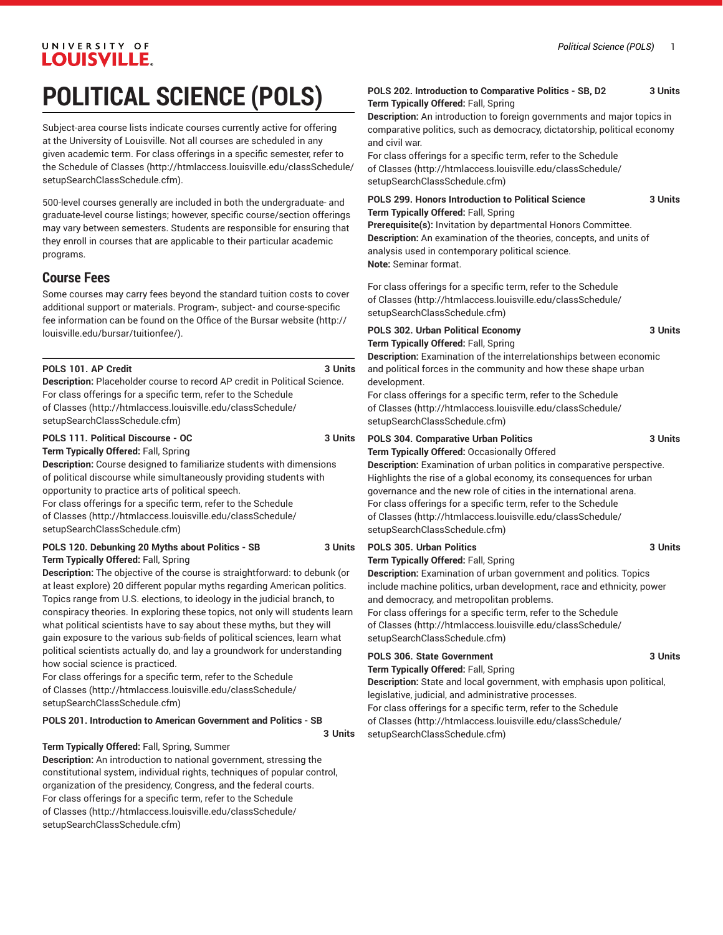# **POLITICAL SCIENCE (POLS)**

Subject-area course lists indicate courses currently active for offering at the University of Louisville. Not all courses are scheduled in any given academic term. For class offerings in a specific semester, refer to the [Schedule of Classes](http://htmlaccess.louisville.edu/classSchedule/setupSearchClassSchedule.cfm) ([http://htmlaccess.louisville.edu/classSchedule/](http://htmlaccess.louisville.edu/classSchedule/setupSearchClassSchedule.cfm) [setupSearchClassSchedule.cfm\)](http://htmlaccess.louisville.edu/classSchedule/setupSearchClassSchedule.cfm).

500-level courses generally are included in both the undergraduate- and graduate-level course listings; however, specific course/section offerings may vary between semesters. Students are responsible for ensuring that they enroll in courses that are applicable to their particular academic programs.

### **Course Fees**

Some courses may carry fees beyond the standard tuition costs to cover additional support or materials. Program-, subject- and course-specific fee information can be found on the [Office of the Bursar website](http://louisville.edu/bursar/tuitionfee/) ([http://](http://louisville.edu/bursar/tuitionfee/) [louisville.edu/bursar/tuitionfee/](http://louisville.edu/bursar/tuitionfee/)).

#### POLS 101. AP Credit 3 Units

**Description:** Placeholder course to record AP credit in Political Science. For class offerings for a specific term, refer to the [Schedule](http://htmlaccess.louisville.edu/classSchedule/setupSearchClassSchedule.cfm) [of Classes \(http://htmlaccess.louisville.edu/classSchedule/](http://htmlaccess.louisville.edu/classSchedule/setupSearchClassSchedule.cfm) [setupSearchClassSchedule.cfm\)](http://htmlaccess.louisville.edu/classSchedule/setupSearchClassSchedule.cfm)

#### **POLS 111. Political Discourse - OC 3 Units**

**Term Typically Offered:** Fall, Spring **Description:** Course designed to familiarize students with dimensions of political discourse while simultaneously providing students with opportunity to practice arts of political speech.

For class offerings for a specific term, refer to the [Schedule](http://htmlaccess.louisville.edu/classSchedule/setupSearchClassSchedule.cfm) [of Classes \(http://htmlaccess.louisville.edu/classSchedule/](http://htmlaccess.louisville.edu/classSchedule/setupSearchClassSchedule.cfm) [setupSearchClassSchedule.cfm\)](http://htmlaccess.louisville.edu/classSchedule/setupSearchClassSchedule.cfm)

#### **POLS 120. Debunking 20 Myths about Politics - SB 3 Units Term Typically Offered:** Fall, Spring

**Description:** The objective of the course is straightforward: to debunk (or at least explore) 20 different popular myths regarding American politics. Topics range from U.S. elections, to ideology in the judicial branch, to conspiracy theories. In exploring these topics, not only will students learn what political scientists have to say about these myths, but they will gain exposure to the various sub-fields of political sciences, learn what political scientists actually do, and lay a groundwork for understanding how social science is practiced.

For class offerings for a specific term, refer to the [Schedule](http://htmlaccess.louisville.edu/classSchedule/setupSearchClassSchedule.cfm) [of Classes \(http://htmlaccess.louisville.edu/classSchedule/](http://htmlaccess.louisville.edu/classSchedule/setupSearchClassSchedule.cfm) [setupSearchClassSchedule.cfm\)](http://htmlaccess.louisville.edu/classSchedule/setupSearchClassSchedule.cfm)

#### **POLS 201. Introduction to American Government and Politics - SB**

**3 Units**

#### **Term Typically Offered:** Fall, Spring, Summer

**Description:** An introduction to national government, stressing the constitutional system, individual rights, techniques of popular control, organization of the presidency, Congress, and the federal courts. For class offerings for a specific term, refer to the [Schedule](http://htmlaccess.louisville.edu/classSchedule/setupSearchClassSchedule.cfm) [of Classes \(http://htmlaccess.louisville.edu/classSchedule/](http://htmlaccess.louisville.edu/classSchedule/setupSearchClassSchedule.cfm) [setupSearchClassSchedule.cfm\)](http://htmlaccess.louisville.edu/classSchedule/setupSearchClassSchedule.cfm)

#### **POLS 202. Introduction to Comparative Politics - SB, D2 3 Units Term Typically Offered:** Fall, Spring

**Description:** An introduction to foreign governments and major topics in comparative politics, such as democracy, dictatorship, political economy and civil war.

For class offerings for a specific term, refer to the [Schedule](http://htmlaccess.louisville.edu/classSchedule/setupSearchClassSchedule.cfm) [of Classes](http://htmlaccess.louisville.edu/classSchedule/setupSearchClassSchedule.cfm) ([http://htmlaccess.louisville.edu/classSchedule/](http://htmlaccess.louisville.edu/classSchedule/setupSearchClassSchedule.cfm) [setupSearchClassSchedule.cfm\)](http://htmlaccess.louisville.edu/classSchedule/setupSearchClassSchedule.cfm)

#### **POLS 299. Honors Introduction to Political Science 3 Units Term Typically Offered:** Fall, Spring

**Prerequisite(s):** Invitation by departmental Honors Committee. **Description:** An examination of the theories, concepts, and units of analysis used in contemporary political science. **Note:** Seminar format.

For class offerings for a specific term, refer to the [Schedule](http://htmlaccess.louisville.edu/classSchedule/setupSearchClassSchedule.cfm) [of Classes](http://htmlaccess.louisville.edu/classSchedule/setupSearchClassSchedule.cfm) ([http://htmlaccess.louisville.edu/classSchedule/](http://htmlaccess.louisville.edu/classSchedule/setupSearchClassSchedule.cfm) [setupSearchClassSchedule.cfm\)](http://htmlaccess.louisville.edu/classSchedule/setupSearchClassSchedule.cfm)

### **POLS 302. Urban Political Economy 3 Units**

**Term Typically Offered:** Fall, Spring

**Description:** Examination of the interrelationships between economic and political forces in the community and how these shape urban development.

For class offerings for a specific term, refer to the [Schedule](http://htmlaccess.louisville.edu/classSchedule/setupSearchClassSchedule.cfm) [of Classes](http://htmlaccess.louisville.edu/classSchedule/setupSearchClassSchedule.cfm) ([http://htmlaccess.louisville.edu/classSchedule/](http://htmlaccess.louisville.edu/classSchedule/setupSearchClassSchedule.cfm) [setupSearchClassSchedule.cfm\)](http://htmlaccess.louisville.edu/classSchedule/setupSearchClassSchedule.cfm)

### **POLS 304. Comparative Urban Politics 3 Units**

**Term Typically Offered:** Occasionally Offered **Description:** Examination of urban politics in comparative perspective. Highlights the rise of a global economy, its consequences for urban governance and the new role of cities in the international arena. For class offerings for a specific term, refer to the [Schedule](http://htmlaccess.louisville.edu/classSchedule/setupSearchClassSchedule.cfm) [of Classes](http://htmlaccess.louisville.edu/classSchedule/setupSearchClassSchedule.cfm) ([http://htmlaccess.louisville.edu/classSchedule/](http://htmlaccess.louisville.edu/classSchedule/setupSearchClassSchedule.cfm) [setupSearchClassSchedule.cfm\)](http://htmlaccess.louisville.edu/classSchedule/setupSearchClassSchedule.cfm)

#### **POLS 305. Urban Politics 3 Units**

**Term Typically Offered:** Fall, Spring

**Description:** Examination of urban government and politics. Topics include machine politics, urban development, race and ethnicity, power and democracy, and metropolitan problems.

For class offerings for a specific term, refer to the [Schedule](http://htmlaccess.louisville.edu/classSchedule/setupSearchClassSchedule.cfm) [of Classes](http://htmlaccess.louisville.edu/classSchedule/setupSearchClassSchedule.cfm) ([http://htmlaccess.louisville.edu/classSchedule/](http://htmlaccess.louisville.edu/classSchedule/setupSearchClassSchedule.cfm) [setupSearchClassSchedule.cfm\)](http://htmlaccess.louisville.edu/classSchedule/setupSearchClassSchedule.cfm)

### **POLS 306. State Government 3 Units**

#### **Term Typically Offered:** Fall, Spring

**Description:** State and local government, with emphasis upon political, legislative, judicial, and administrative processes.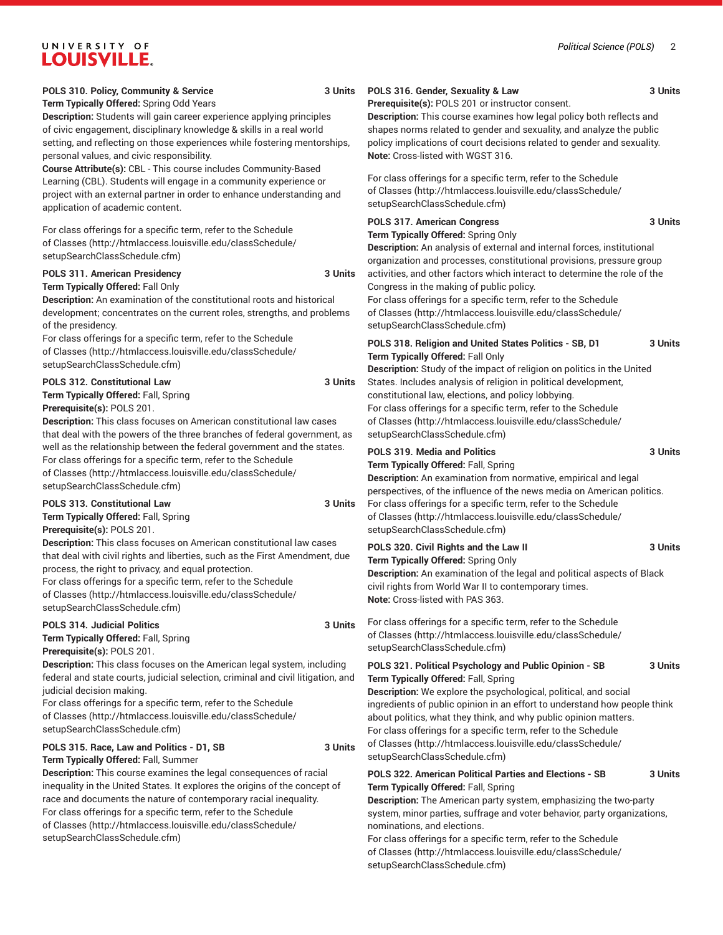#### **POLS 310. Policy, Community & Service 3 Units**

**Term Typically Offered:** Spring Odd Years **Description:** Students will gain career experience applying principles of civic engagement, disciplinary knowledge & skills in a real world setting, and reflecting on those experiences while fostering mentorships, personal values, and civic responsibility.

**Course Attribute(s):** CBL - This course includes Community-Based Learning (CBL). Students will engage in a community experience or project with an external partner in order to enhance understanding and application of academic content.

For class offerings for a specific term, refer to the [Schedule](http://htmlaccess.louisville.edu/classSchedule/setupSearchClassSchedule.cfm) [of Classes \(http://htmlaccess.louisville.edu/classSchedule/](http://htmlaccess.louisville.edu/classSchedule/setupSearchClassSchedule.cfm) [setupSearchClassSchedule.cfm\)](http://htmlaccess.louisville.edu/classSchedule/setupSearchClassSchedule.cfm)

#### **POLS 311. American Presidency 3 Units**

**Term Typically Offered:** Fall Only

**Description:** An examination of the constitutional roots and historical development; concentrates on the current roles, strengths, and problems of the presidency.

For class offerings for a specific term, refer to the [Schedule](http://htmlaccess.louisville.edu/classSchedule/setupSearchClassSchedule.cfm) [of Classes \(http://htmlaccess.louisville.edu/classSchedule/](http://htmlaccess.louisville.edu/classSchedule/setupSearchClassSchedule.cfm) [setupSearchClassSchedule.cfm\)](http://htmlaccess.louisville.edu/classSchedule/setupSearchClassSchedule.cfm)

#### POLS 312. Constitutional Law 3 Units

**Term Typically Offered:** Fall, Spring

**Prerequisite(s):** POLS 201.

**Description:** This class focuses on American constitutional law cases that deal with the powers of the three branches of federal government, as well as the relationship between the federal government and the states. For class offerings for a specific term, refer to the [Schedule](http://htmlaccess.louisville.edu/classSchedule/setupSearchClassSchedule.cfm) [of Classes \(http://htmlaccess.louisville.edu/classSchedule/](http://htmlaccess.louisville.edu/classSchedule/setupSearchClassSchedule.cfm) [setupSearchClassSchedule.cfm\)](http://htmlaccess.louisville.edu/classSchedule/setupSearchClassSchedule.cfm)

#### **POLS 313. Constitutional Law 3 Units**

**Term Typically Offered:** Fall, Spring **Prerequisite(s):** POLS 201.

**Description:** This class focuses on American constitutional law cases that deal with civil rights and liberties, such as the First Amendment, due process, the right to privacy, and equal protection.

For class offerings for a specific term, refer to the [Schedule](http://htmlaccess.louisville.edu/classSchedule/setupSearchClassSchedule.cfm) [of Classes \(http://htmlaccess.louisville.edu/classSchedule/](http://htmlaccess.louisville.edu/classSchedule/setupSearchClassSchedule.cfm) [setupSearchClassSchedule.cfm\)](http://htmlaccess.louisville.edu/classSchedule/setupSearchClassSchedule.cfm)

#### **POLS 314. Judicial Politics 3 Units**

**Term Typically Offered:** Fall, Spring

**Prerequisite(s):** POLS 201.

**Description:** This class focuses on the American legal system, including federal and state courts, judicial selection, criminal and civil litigation, and judicial decision making.

For class offerings for a specific term, refer to the [Schedule](http://htmlaccess.louisville.edu/classSchedule/setupSearchClassSchedule.cfm) [of Classes \(http://htmlaccess.louisville.edu/classSchedule/](http://htmlaccess.louisville.edu/classSchedule/setupSearchClassSchedule.cfm) [setupSearchClassSchedule.cfm\)](http://htmlaccess.louisville.edu/classSchedule/setupSearchClassSchedule.cfm)

### **POLS 315. Race, Law and Politics - D1, SB 3 Units**

**Term Typically Offered:** Fall, Summer

**Description:** This course examines the legal consequences of racial inequality in the United States. It explores the origins of the concept of race and documents the nature of contemporary racial inequality. For class offerings for a specific term, refer to the [Schedule](http://htmlaccess.louisville.edu/classSchedule/setupSearchClassSchedule.cfm) [of Classes \(http://htmlaccess.louisville.edu/classSchedule/](http://htmlaccess.louisville.edu/classSchedule/setupSearchClassSchedule.cfm) [setupSearchClassSchedule.cfm\)](http://htmlaccess.louisville.edu/classSchedule/setupSearchClassSchedule.cfm)

### **POLS 316. Gender, Sexuality & Law 3 Units**

**Prerequisite(s):** POLS 201 or instructor consent.

**Description:** This course examines how legal policy both reflects and shapes norms related to gender and sexuality, and analyze the public policy implications of court decisions related to gender and sexuality. **Note:** Cross-listed with WGST 316.

For class offerings for a specific term, refer to the [Schedule](http://htmlaccess.louisville.edu/classSchedule/setupSearchClassSchedule.cfm) [of Classes](http://htmlaccess.louisville.edu/classSchedule/setupSearchClassSchedule.cfm) ([http://htmlaccess.louisville.edu/classSchedule/](http://htmlaccess.louisville.edu/classSchedule/setupSearchClassSchedule.cfm) [setupSearchClassSchedule.cfm\)](http://htmlaccess.louisville.edu/classSchedule/setupSearchClassSchedule.cfm)

### POLS 317. American Congress 3 Units

#### **Term Typically Offered:** Spring Only

**Description:** An analysis of external and internal forces, institutional organization and processes, constitutional provisions, pressure group activities, and other factors which interact to determine the role of the Congress in the making of public policy.

For class offerings for a specific term, refer to the [Schedule](http://htmlaccess.louisville.edu/classSchedule/setupSearchClassSchedule.cfm) [of Classes](http://htmlaccess.louisville.edu/classSchedule/setupSearchClassSchedule.cfm) ([http://htmlaccess.louisville.edu/classSchedule/](http://htmlaccess.louisville.edu/classSchedule/setupSearchClassSchedule.cfm) [setupSearchClassSchedule.cfm\)](http://htmlaccess.louisville.edu/classSchedule/setupSearchClassSchedule.cfm)

#### **POLS 318. Religion and United States Politics - SB, D1 3 Units Term Typically Offered:** Fall Only

**Description:** Study of the impact of religion on politics in the United States. Includes analysis of religion in political development, constitutional law, elections, and policy lobbying. For class offerings for a specific term, refer to the [Schedule](http://htmlaccess.louisville.edu/classSchedule/setupSearchClassSchedule.cfm) [of Classes](http://htmlaccess.louisville.edu/classSchedule/setupSearchClassSchedule.cfm) ([http://htmlaccess.louisville.edu/classSchedule/](http://htmlaccess.louisville.edu/classSchedule/setupSearchClassSchedule.cfm) [setupSearchClassSchedule.cfm\)](http://htmlaccess.louisville.edu/classSchedule/setupSearchClassSchedule.cfm)

#### **POLS 319. Media and Politics 3 Units**

**Term Typically Offered:** Fall, Spring

#### **Description:** An examination from normative, empirical and legal perspectives, of the influence of the news media on American politics. For class offerings for a specific term, refer to the [Schedule](http://htmlaccess.louisville.edu/classSchedule/setupSearchClassSchedule.cfm) [of Classes](http://htmlaccess.louisville.edu/classSchedule/setupSearchClassSchedule.cfm) ([http://htmlaccess.louisville.edu/classSchedule/](http://htmlaccess.louisville.edu/classSchedule/setupSearchClassSchedule.cfm) [setupSearchClassSchedule.cfm\)](http://htmlaccess.louisville.edu/classSchedule/setupSearchClassSchedule.cfm)

#### **POLS 320. Civil Rights and the Law II 3 Units** 3 Units

**Term Typically Offered:** Spring Only

**Description:** An examination of the legal and political aspects of Black civil rights from World War II to contemporary times. **Note:** Cross-listed with PAS 363.

For class offerings for a specific term, refer to the [Schedule](http://htmlaccess.louisville.edu/classSchedule/setupSearchClassSchedule.cfm) [of Classes](http://htmlaccess.louisville.edu/classSchedule/setupSearchClassSchedule.cfm) ([http://htmlaccess.louisville.edu/classSchedule/](http://htmlaccess.louisville.edu/classSchedule/setupSearchClassSchedule.cfm) [setupSearchClassSchedule.cfm\)](http://htmlaccess.louisville.edu/classSchedule/setupSearchClassSchedule.cfm)

#### **POLS 321. Political Psychology and Public Opinion - SB 3 Units Term Typically Offered:** Fall, Spring

**Description:** We explore the psychological, political, and social ingredients of public opinion in an effort to understand how people think about politics, what they think, and why public opinion matters. For class offerings for a specific term, refer to the [Schedule](http://htmlaccess.louisville.edu/classSchedule/setupSearchClassSchedule.cfm) [of Classes](http://htmlaccess.louisville.edu/classSchedule/setupSearchClassSchedule.cfm) ([http://htmlaccess.louisville.edu/classSchedule/](http://htmlaccess.louisville.edu/classSchedule/setupSearchClassSchedule.cfm) [setupSearchClassSchedule.cfm\)](http://htmlaccess.louisville.edu/classSchedule/setupSearchClassSchedule.cfm)

#### **POLS 322. American Political Parties and Elections - SB 3 Units Term Typically Offered:** Fall, Spring

**Description:** The American party system, emphasizing the two-party system, minor parties, suffrage and voter behavior, party organizations, nominations, and elections.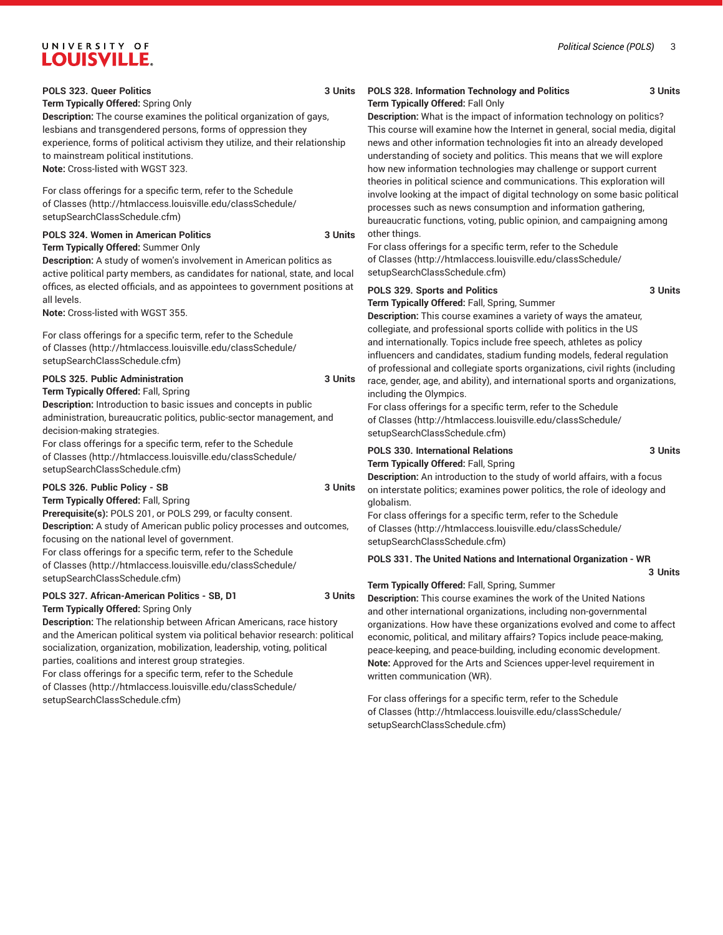#### **POLS 323. Queer Politics 3 Units**

#### **Term Typically Offered:** Spring Only

**Description:** The course examines the political organization of gays, lesbians and transgendered persons, forms of oppression they experience, forms of political activism they utilize, and their relationship to mainstream political institutions. **Note:** Cross-listed with WGST 323.

For class offerings for a specific term, refer to the [Schedule](http://htmlaccess.louisville.edu/classSchedule/setupSearchClassSchedule.cfm) [of Classes \(http://htmlaccess.louisville.edu/classSchedule/](http://htmlaccess.louisville.edu/classSchedule/setupSearchClassSchedule.cfm) [setupSearchClassSchedule.cfm\)](http://htmlaccess.louisville.edu/classSchedule/setupSearchClassSchedule.cfm)

#### **POLS 324. Women in American Politics 3 Units Term Typically Offered:** Summer Only

**Description:** A study of women's involvement in American politics as active political party members, as candidates for national, state, and local offices, as elected officials, and as appointees to government positions at all levels.

**Note:** Cross-listed with WGST 355.

For class offerings for a specific term, refer to the [Schedule](http://htmlaccess.louisville.edu/classSchedule/setupSearchClassSchedule.cfm) [of Classes \(http://htmlaccess.louisville.edu/classSchedule/](http://htmlaccess.louisville.edu/classSchedule/setupSearchClassSchedule.cfm) [setupSearchClassSchedule.cfm\)](http://htmlaccess.louisville.edu/classSchedule/setupSearchClassSchedule.cfm)

#### **POLS 325. Public Administration 3 Units**

**Term Typically Offered:** Fall, Spring

**Description:** Introduction to basic issues and concepts in public administration, bureaucratic politics, public-sector management, and decision-making strategies.

For class offerings for a specific term, refer to the [Schedule](http://htmlaccess.louisville.edu/classSchedule/setupSearchClassSchedule.cfm) [of Classes \(http://htmlaccess.louisville.edu/classSchedule/](http://htmlaccess.louisville.edu/classSchedule/setupSearchClassSchedule.cfm) [setupSearchClassSchedule.cfm\)](http://htmlaccess.louisville.edu/classSchedule/setupSearchClassSchedule.cfm)

#### **POLS 326. Public Policy - SB 3 Units**

**Term Typically Offered:** Fall, Spring **Prerequisite(s):** POLS 201, or POLS 299, or faculty consent. **Description:** A study of American public policy processes and outcomes, focusing on the national level of government. For class offerings for a specific term, refer to the [Schedule](http://htmlaccess.louisville.edu/classSchedule/setupSearchClassSchedule.cfm) [of Classes \(http://htmlaccess.louisville.edu/classSchedule/](http://htmlaccess.louisville.edu/classSchedule/setupSearchClassSchedule.cfm) [setupSearchClassSchedule.cfm\)](http://htmlaccess.louisville.edu/classSchedule/setupSearchClassSchedule.cfm)

#### **POLS 327. African-American Politics - SB, D1 3 Units**

**Term Typically Offered:** Spring Only

**Description:** The relationship between African Americans, race history and the American political system via political behavior research: political socialization, organization, mobilization, leadership, voting, political parties, coalitions and interest group strategies.

For class offerings for a specific term, refer to the [Schedule](http://htmlaccess.louisville.edu/classSchedule/setupSearchClassSchedule.cfm) [of Classes \(http://htmlaccess.louisville.edu/classSchedule/](http://htmlaccess.louisville.edu/classSchedule/setupSearchClassSchedule.cfm) [setupSearchClassSchedule.cfm\)](http://htmlaccess.louisville.edu/classSchedule/setupSearchClassSchedule.cfm)

#### **POLS 328. Information Technology and Politics 3 Units Term Typically Offered:** Fall Only

**Description:** What is the impact of information technology on politics? This course will examine how the Internet in general, social media, digital news and other information technologies fit into an already developed understanding of society and politics. This means that we will explore how new information technologies may challenge or support current theories in political science and communications. This exploration will involve looking at the impact of digital technology on some basic political processes such as news consumption and information gathering, bureaucratic functions, voting, public opinion, and campaigning among other things.

For class offerings for a specific term, refer to the [Schedule](http://htmlaccess.louisville.edu/classSchedule/setupSearchClassSchedule.cfm) [of Classes](http://htmlaccess.louisville.edu/classSchedule/setupSearchClassSchedule.cfm) ([http://htmlaccess.louisville.edu/classSchedule/](http://htmlaccess.louisville.edu/classSchedule/setupSearchClassSchedule.cfm) [setupSearchClassSchedule.cfm\)](http://htmlaccess.louisville.edu/classSchedule/setupSearchClassSchedule.cfm)

#### **POLS 329. Sports and Politics 3 Units**

**Term Typically Offered:** Fall, Spring, Summer

**Description:** This course examines a variety of ways the amateur, collegiate, and professional sports collide with politics in the US and internationally. Topics include free speech, athletes as policy influencers and candidates, stadium funding models, federal regulation of professional and collegiate sports organizations, civil rights (including race, gender, age, and ability), and international sports and organizations,

including the Olympics. For class offerings for a specific term, refer to the [Schedule](http://htmlaccess.louisville.edu/classSchedule/setupSearchClassSchedule.cfm) [of Classes](http://htmlaccess.louisville.edu/classSchedule/setupSearchClassSchedule.cfm) ([http://htmlaccess.louisville.edu/classSchedule/](http://htmlaccess.louisville.edu/classSchedule/setupSearchClassSchedule.cfm) [setupSearchClassSchedule.cfm\)](http://htmlaccess.louisville.edu/classSchedule/setupSearchClassSchedule.cfm)

#### POLS 330. International Relations **3 Units Term Typically Offered:** Fall, Spring

**Description:** An introduction to the study of world affairs, with a focus on interstate politics; examines power politics, the role of ideology and globalism.

For class offerings for a specific term, refer to the [Schedule](http://htmlaccess.louisville.edu/classSchedule/setupSearchClassSchedule.cfm) [of Classes](http://htmlaccess.louisville.edu/classSchedule/setupSearchClassSchedule.cfm) ([http://htmlaccess.louisville.edu/classSchedule/](http://htmlaccess.louisville.edu/classSchedule/setupSearchClassSchedule.cfm) [setupSearchClassSchedule.cfm\)](http://htmlaccess.louisville.edu/classSchedule/setupSearchClassSchedule.cfm)

**POLS 331. The United Nations and International Organization - WR**

**3 Units**

#### **Term Typically Offered:** Fall, Spring, Summer

**Description:** This course examines the work of the United Nations and other international organizations, including non-governmental organizations. How have these organizations evolved and come to affect economic, political, and military affairs? Topics include peace-making, peace-keeping, and peace-building, including economic development. **Note:** Approved for the Arts and Sciences upper-level requirement in written communication (WR).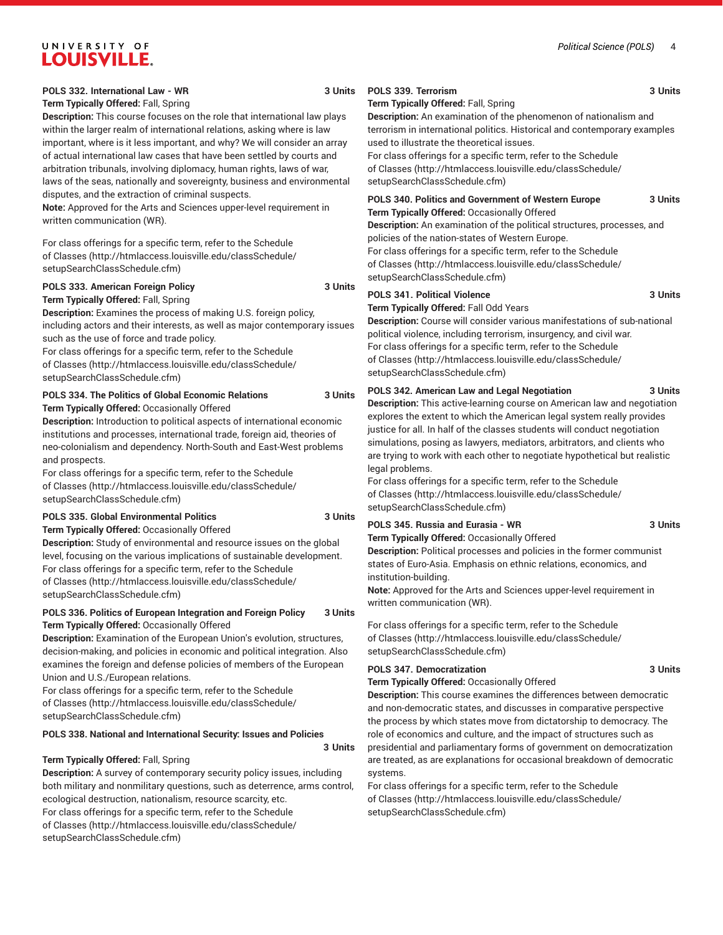#### **Term Typically Offered:** Fall, Spring

**Description:** This course focuses on the role that international law plays within the larger realm of international relations, asking where is law important, where is it less important, and why? We will consider an array of actual international law cases that have been settled by courts and arbitration tribunals, involving diplomacy, human rights, laws of war, laws of the seas, nationally and sovereignty, business and environmental disputes, and the extraction of criminal suspects.

**Note:** Approved for the Arts and Sciences upper-level requirement in written communication (WR).

For class offerings for a specific term, refer to the [Schedule](http://htmlaccess.louisville.edu/classSchedule/setupSearchClassSchedule.cfm) [of Classes \(http://htmlaccess.louisville.edu/classSchedule/](http://htmlaccess.louisville.edu/classSchedule/setupSearchClassSchedule.cfm) [setupSearchClassSchedule.cfm\)](http://htmlaccess.louisville.edu/classSchedule/setupSearchClassSchedule.cfm)

#### **POLS 333. American Foreign Policy 3 Units Term Typically Offered:** Fall, Spring

**Description:** Examines the process of making U.S. foreign policy, including actors and their interests, as well as major contemporary issues such as the use of force and trade policy.

For class offerings for a specific term, refer to the [Schedule](http://htmlaccess.louisville.edu/classSchedule/setupSearchClassSchedule.cfm) [of Classes \(http://htmlaccess.louisville.edu/classSchedule/](http://htmlaccess.louisville.edu/classSchedule/setupSearchClassSchedule.cfm) [setupSearchClassSchedule.cfm\)](http://htmlaccess.louisville.edu/classSchedule/setupSearchClassSchedule.cfm)

#### **POLS 334. The Politics of Global Economic Relations 3 Units Term Typically Offered:** Occasionally Offered

**Description:** Introduction to political aspects of international economic institutions and processes, international trade, foreign aid, theories of neo-colonialism and dependency. North-South and East-West problems and prospects.

For class offerings for a specific term, refer to the [Schedule](http://htmlaccess.louisville.edu/classSchedule/setupSearchClassSchedule.cfm) [of Classes \(http://htmlaccess.louisville.edu/classSchedule/](http://htmlaccess.louisville.edu/classSchedule/setupSearchClassSchedule.cfm) [setupSearchClassSchedule.cfm\)](http://htmlaccess.louisville.edu/classSchedule/setupSearchClassSchedule.cfm)

#### **POLS 335. Global Environmental Politics 3 Units**

**Term Typically Offered:** Occasionally Offered **Description:** Study of environmental and resource issues on the global level, focusing on the various implications of sustainable development. For class offerings for a specific term, refer to the [Schedule](http://htmlaccess.louisville.edu/classSchedule/setupSearchClassSchedule.cfm) [of Classes \(http://htmlaccess.louisville.edu/classSchedule/](http://htmlaccess.louisville.edu/classSchedule/setupSearchClassSchedule.cfm)

[setupSearchClassSchedule.cfm\)](http://htmlaccess.louisville.edu/classSchedule/setupSearchClassSchedule.cfm)

### **POLS 336. Politics of European Integration and Foreign Policy 3 Units Term Typically Offered:** Occasionally Offered

**Description:** Examination of the European Union's evolution, structures, decision-making, and policies in economic and political integration. Also examines the foreign and defense policies of members of the European Union and U.S./European relations.

For class offerings for a specific term, refer to the [Schedule](http://htmlaccess.louisville.edu/classSchedule/setupSearchClassSchedule.cfm) [of Classes \(http://htmlaccess.louisville.edu/classSchedule/](http://htmlaccess.louisville.edu/classSchedule/setupSearchClassSchedule.cfm) [setupSearchClassSchedule.cfm\)](http://htmlaccess.louisville.edu/classSchedule/setupSearchClassSchedule.cfm)

### **POLS 338. National and International Security: Issues and Policies**

#### **Term Typically Offered:** Fall, Spring

**Description:** A survey of contemporary security policy issues, including both military and nonmilitary questions, such as deterrence, arms control, ecological destruction, nationalism, resource scarcity, etc. For class offerings for a specific term, refer to the [Schedule](http://htmlaccess.louisville.edu/classSchedule/setupSearchClassSchedule.cfm) [of Classes \(http://htmlaccess.louisville.edu/classSchedule/](http://htmlaccess.louisville.edu/classSchedule/setupSearchClassSchedule.cfm) [setupSearchClassSchedule.cfm\)](http://htmlaccess.louisville.edu/classSchedule/setupSearchClassSchedule.cfm)

#### **POLS 339. Terrorism 3 Units**

#### **Term Typically Offered:** Fall, Spring

**Description:** An examination of the phenomenon of nationalism and terrorism in international politics. Historical and contemporary examples used to illustrate the theoretical issues.

For class offerings for a specific term, refer to the [Schedule](http://htmlaccess.louisville.edu/classSchedule/setupSearchClassSchedule.cfm) [of Classes](http://htmlaccess.louisville.edu/classSchedule/setupSearchClassSchedule.cfm) ([http://htmlaccess.louisville.edu/classSchedule/](http://htmlaccess.louisville.edu/classSchedule/setupSearchClassSchedule.cfm) [setupSearchClassSchedule.cfm\)](http://htmlaccess.louisville.edu/classSchedule/setupSearchClassSchedule.cfm)

#### **POLS 340. Politics and Government of Western Europe 3 Units Term Typically Offered:** Occasionally Offered

**Description:** An examination of the political structures, processes, and policies of the nation-states of Western Europe. For class offerings for a specific term, refer to the [Schedule](http://htmlaccess.louisville.edu/classSchedule/setupSearchClassSchedule.cfm)

[of Classes](http://htmlaccess.louisville.edu/classSchedule/setupSearchClassSchedule.cfm) ([http://htmlaccess.louisville.edu/classSchedule/](http://htmlaccess.louisville.edu/classSchedule/setupSearchClassSchedule.cfm) [setupSearchClassSchedule.cfm\)](http://htmlaccess.louisville.edu/classSchedule/setupSearchClassSchedule.cfm)

#### **POLS 341. Political Violence 3 Units**

**Term Typically Offered:** Fall Odd Years

**Description:** Course will consider various manifestations of sub-national political violence, including terrorism, insurgency, and civil war. For class offerings for a specific term, refer to the [Schedule](http://htmlaccess.louisville.edu/classSchedule/setupSearchClassSchedule.cfm) [of Classes](http://htmlaccess.louisville.edu/classSchedule/setupSearchClassSchedule.cfm) ([http://htmlaccess.louisville.edu/classSchedule/](http://htmlaccess.louisville.edu/classSchedule/setupSearchClassSchedule.cfm) [setupSearchClassSchedule.cfm\)](http://htmlaccess.louisville.edu/classSchedule/setupSearchClassSchedule.cfm)

#### **POLS 342. American Law and Legal Negotiation 3 Units**

**Description:** This active-learning course on American law and negotiation explores the extent to which the American legal system really provides justice for all. In half of the classes students will conduct negotiation simulations, posing as lawyers, mediators, arbitrators, and clients who are trying to work with each other to negotiate hypothetical but realistic legal problems.

For class offerings for a specific term, refer to the [Schedule](http://htmlaccess.louisville.edu/classSchedule/setupSearchClassSchedule.cfm) [of Classes](http://htmlaccess.louisville.edu/classSchedule/setupSearchClassSchedule.cfm) ([http://htmlaccess.louisville.edu/classSchedule/](http://htmlaccess.louisville.edu/classSchedule/setupSearchClassSchedule.cfm) [setupSearchClassSchedule.cfm\)](http://htmlaccess.louisville.edu/classSchedule/setupSearchClassSchedule.cfm)

#### **POLS 345. Russia and Eurasia - WR 3 Units**

**Term Typically Offered:** Occasionally Offered

**Description:** Political processes and policies in the former communist states of Euro-Asia. Emphasis on ethnic relations, economics, and institution-building.

**Note:** Approved for the Arts and Sciences upper-level requirement in written communication (WR).

For class offerings for a specific term, refer to the [Schedule](http://htmlaccess.louisville.edu/classSchedule/setupSearchClassSchedule.cfm) [of Classes](http://htmlaccess.louisville.edu/classSchedule/setupSearchClassSchedule.cfm) ([http://htmlaccess.louisville.edu/classSchedule/](http://htmlaccess.louisville.edu/classSchedule/setupSearchClassSchedule.cfm) [setupSearchClassSchedule.cfm\)](http://htmlaccess.louisville.edu/classSchedule/setupSearchClassSchedule.cfm)

#### POLS 347. Democratization 3 Units

**3 Units**

**Term Typically Offered:** Occasionally Offered

**Description:** This course examines the differences between democratic and non-democratic states, and discusses in comparative perspective the process by which states move from dictatorship to democracy. The role of economics and culture, and the impact of structures such as presidential and parliamentary forms of government on democratization are treated, as are explanations for occasional breakdown of democratic systems.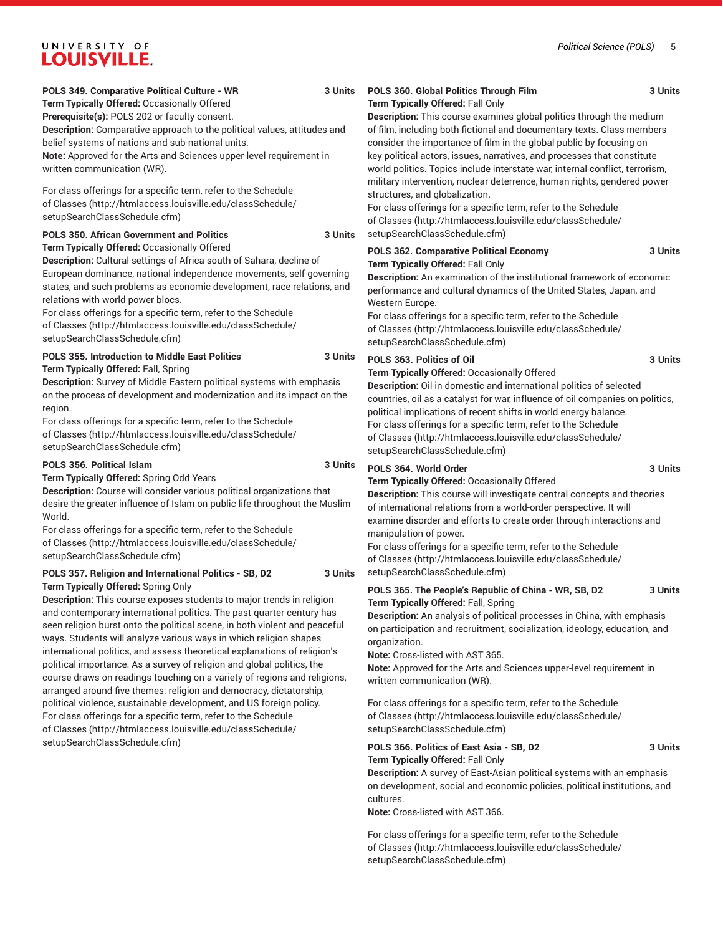**POLS 349. Comparative Political Culture - WR 3 Units**

**Term Typically Offered:** Occasionally Offered

**Prerequisite(s):** POLS 202 or faculty consent. **Description:** Comparative approach to the political values, attitudes and belief systems of nations and sub-national units. **Note:** Approved for the Arts and Sciences upper-level requirement in written communication (WR).

For class offerings for a specific term, refer to the [Schedule](http://htmlaccess.louisville.edu/classSchedule/setupSearchClassSchedule.cfm) [of Classes \(http://htmlaccess.louisville.edu/classSchedule/](http://htmlaccess.louisville.edu/classSchedule/setupSearchClassSchedule.cfm) [setupSearchClassSchedule.cfm\)](http://htmlaccess.louisville.edu/classSchedule/setupSearchClassSchedule.cfm)

### **POLS 350. African Government and Politics 3 Units**

**Term Typically Offered:** Occasionally Offered **Description:** Cultural settings of Africa south of Sahara, decline of European dominance, national independence movements, self-governing states, and such problems as economic development, race relations, and relations with world power blocs.

For class offerings for a specific term, refer to the [Schedule](http://htmlaccess.louisville.edu/classSchedule/setupSearchClassSchedule.cfm) [of Classes \(http://htmlaccess.louisville.edu/classSchedule/](http://htmlaccess.louisville.edu/classSchedule/setupSearchClassSchedule.cfm) [setupSearchClassSchedule.cfm\)](http://htmlaccess.louisville.edu/classSchedule/setupSearchClassSchedule.cfm)

#### **POLS 355. Introduction to Middle East Politics 3 Units Term Typically Offered:** Fall, Spring

**Description:** Survey of Middle Eastern political systems with emphasis on the process of development and modernization and its impact on the region.

For class offerings for a specific term, refer to the [Schedule](http://htmlaccess.louisville.edu/classSchedule/setupSearchClassSchedule.cfm) [of Classes \(http://htmlaccess.louisville.edu/classSchedule/](http://htmlaccess.louisville.edu/classSchedule/setupSearchClassSchedule.cfm) [setupSearchClassSchedule.cfm\)](http://htmlaccess.louisville.edu/classSchedule/setupSearchClassSchedule.cfm)

#### **POLS 356. Political Islam 3 Units**

**Term Typically Offered:** Spring Odd Years **Description:** Course will consider various political organizations that desire the greater influence of Islam on public life throughout the Muslim World.

For class offerings for a specific term, refer to the [Schedule](http://htmlaccess.louisville.edu/classSchedule/setupSearchClassSchedule.cfm) [of Classes \(http://htmlaccess.louisville.edu/classSchedule/](http://htmlaccess.louisville.edu/classSchedule/setupSearchClassSchedule.cfm) [setupSearchClassSchedule.cfm\)](http://htmlaccess.louisville.edu/classSchedule/setupSearchClassSchedule.cfm)

#### **POLS 357. Religion and International Politics - SB, D2 3 Units Term Typically Offered:** Spring Only

**Description:** This course exposes students to major trends in religion and contemporary international politics. The past quarter century has seen religion burst onto the political scene, in both violent and peaceful ways. Students will analyze various ways in which religion shapes international politics, and assess theoretical explanations of religion's political importance. As a survey of religion and global politics, the course draws on readings touching on a variety of regions and religions, arranged around five themes: religion and democracy, dictatorship, political violence, sustainable development, and US foreign policy. For class offerings for a specific term, refer to the [Schedule](http://htmlaccess.louisville.edu/classSchedule/setupSearchClassSchedule.cfm) [of Classes \(http://htmlaccess.louisville.edu/classSchedule/](http://htmlaccess.louisville.edu/classSchedule/setupSearchClassSchedule.cfm) [setupSearchClassSchedule.cfm\)](http://htmlaccess.louisville.edu/classSchedule/setupSearchClassSchedule.cfm)

#### **POLS 360. Global Politics Through Film 3 Units Term Typically Offered:** Fall Only

**Description:** This course examines global politics through the medium of film, including both fictional and documentary texts. Class members consider the importance of film in the global public by focusing on key political actors, issues, narratives, and processes that constitute world politics. Topics include interstate war, internal conflict, terrorism, military intervention, nuclear deterrence, human rights, gendered power structures, and globalization.

For class offerings for a specific term, refer to the [Schedule](http://htmlaccess.louisville.edu/classSchedule/setupSearchClassSchedule.cfm) [of Classes](http://htmlaccess.louisville.edu/classSchedule/setupSearchClassSchedule.cfm) ([http://htmlaccess.louisville.edu/classSchedule/](http://htmlaccess.louisville.edu/classSchedule/setupSearchClassSchedule.cfm) [setupSearchClassSchedule.cfm\)](http://htmlaccess.louisville.edu/classSchedule/setupSearchClassSchedule.cfm)

#### **POLS 362. Comparative Political Economy 3 Units Term Typically Offered:** Fall Only

**Description:** An examination of the institutional framework of economic performance and cultural dynamics of the United States, Japan, and Western Europe.

For class offerings for a specific term, refer to the [Schedule](http://htmlaccess.louisville.edu/classSchedule/setupSearchClassSchedule.cfm) [of Classes](http://htmlaccess.louisville.edu/classSchedule/setupSearchClassSchedule.cfm) ([http://htmlaccess.louisville.edu/classSchedule/](http://htmlaccess.louisville.edu/classSchedule/setupSearchClassSchedule.cfm) [setupSearchClassSchedule.cfm\)](http://htmlaccess.louisville.edu/classSchedule/setupSearchClassSchedule.cfm)

#### **POLS 363. Politics of Oil 3 Units**

**Term Typically Offered:** Occasionally Offered

**Description:** Oil in domestic and international politics of selected countries, oil as a catalyst for war, influence of oil companies on politics, political implications of recent shifts in world energy balance. For class offerings for a specific term, refer to the [Schedule](http://htmlaccess.louisville.edu/classSchedule/setupSearchClassSchedule.cfm) [of Classes](http://htmlaccess.louisville.edu/classSchedule/setupSearchClassSchedule.cfm) ([http://htmlaccess.louisville.edu/classSchedule/](http://htmlaccess.louisville.edu/classSchedule/setupSearchClassSchedule.cfm) [setupSearchClassSchedule.cfm\)](http://htmlaccess.louisville.edu/classSchedule/setupSearchClassSchedule.cfm)

### **POLS 364. World Order 3 Units**

**Term Typically Offered:** Occasionally Offered **Description:** This course will investigate central concepts and theories

of international relations from a world-order perspective. It will examine disorder and efforts to create order through interactions and manipulation of power.

For class offerings for a specific term, refer to the [Schedule](http://htmlaccess.louisville.edu/classSchedule/setupSearchClassSchedule.cfm) [of Classes](http://htmlaccess.louisville.edu/classSchedule/setupSearchClassSchedule.cfm) ([http://htmlaccess.louisville.edu/classSchedule/](http://htmlaccess.louisville.edu/classSchedule/setupSearchClassSchedule.cfm) [setupSearchClassSchedule.cfm\)](http://htmlaccess.louisville.edu/classSchedule/setupSearchClassSchedule.cfm)

#### **POLS 365. The People's Republic of China - WR, SB, D2 3 Units Term Typically Offered:** Fall, Spring

**Description:** An analysis of political processes in China, with emphasis on participation and recruitment, socialization, ideology, education, and organization.

**Note:** Cross-listed with AST 365.

**Note:** Approved for the Arts and Sciences upper-level requirement in written communication (WR).

For class offerings for a specific term, refer to the [Schedule](http://htmlaccess.louisville.edu/classSchedule/setupSearchClassSchedule.cfm) [of Classes](http://htmlaccess.louisville.edu/classSchedule/setupSearchClassSchedule.cfm) ([http://htmlaccess.louisville.edu/classSchedule/](http://htmlaccess.louisville.edu/classSchedule/setupSearchClassSchedule.cfm) [setupSearchClassSchedule.cfm\)](http://htmlaccess.louisville.edu/classSchedule/setupSearchClassSchedule.cfm)

#### **POLS 366. Politics of East Asia - SB, D2 3 Units Term Typically Offered:** Fall Only

**Description:** A survey of East-Asian political systems with an emphasis on development, social and economic policies, political institutions, and cultures.

**Note:** Cross-listed with AST 366.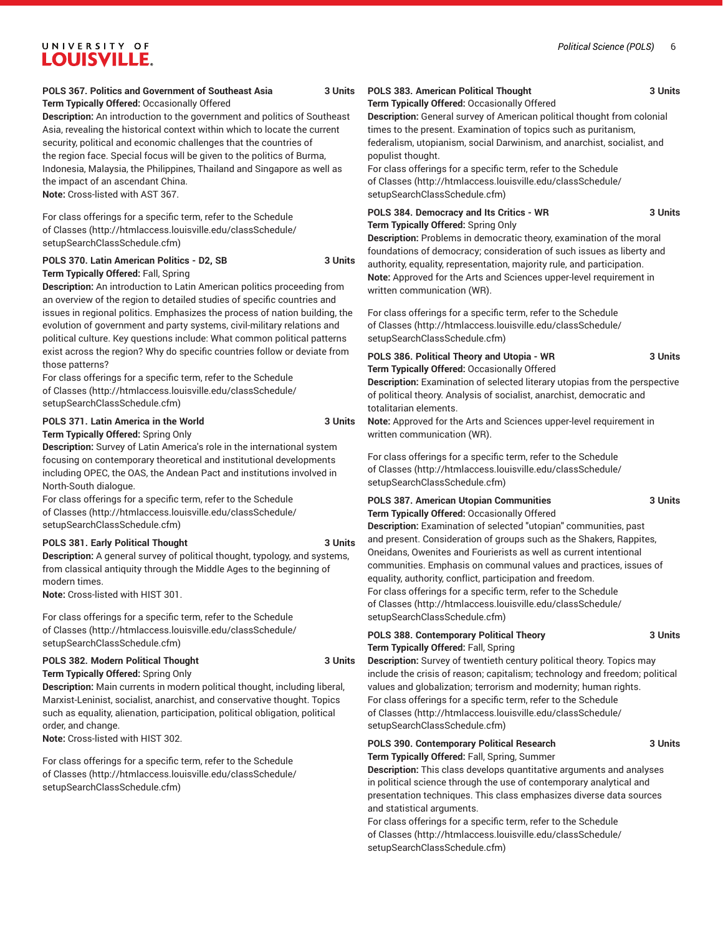#### **POLS 367. Politics and Government of Southeast Asia 3 Units Term Typically Offered:** Occasionally Offered

**Description:** An introduction to the government and politics of Southeast Asia, revealing the historical context within which to locate the current security, political and economic challenges that the countries of the region face. Special focus will be given to the politics of Burma, Indonesia, Malaysia, the Philippines, Thailand and Singapore as well as the impact of an ascendant China. **Note:** Cross-listed with AST 367.

For class offerings for a specific term, refer to the [Schedule](http://htmlaccess.louisville.edu/classSchedule/setupSearchClassSchedule.cfm) [of Classes \(http://htmlaccess.louisville.edu/classSchedule/](http://htmlaccess.louisville.edu/classSchedule/setupSearchClassSchedule.cfm) [setupSearchClassSchedule.cfm\)](http://htmlaccess.louisville.edu/classSchedule/setupSearchClassSchedule.cfm)

### **POLS 370. Latin American Politics - D2, SB 3 Units**

**Term Typically Offered:** Fall, Spring

**Description:** An introduction to Latin American politics proceeding from an overview of the region to detailed studies of specific countries and issues in regional politics. Emphasizes the process of nation building, the evolution of government and party systems, civil-military relations and political culture. Key questions include: What common political patterns exist across the region? Why do specific countries follow or deviate from those patterns?

For class offerings for a specific term, refer to the [Schedule](http://htmlaccess.louisville.edu/classSchedule/setupSearchClassSchedule.cfm) [of Classes \(http://htmlaccess.louisville.edu/classSchedule/](http://htmlaccess.louisville.edu/classSchedule/setupSearchClassSchedule.cfm) [setupSearchClassSchedule.cfm\)](http://htmlaccess.louisville.edu/classSchedule/setupSearchClassSchedule.cfm)

### **POLS 371. Latin America in the World 3 Units**

**Term Typically Offered:** Spring Only

**Description:** Survey of Latin America's role in the international system focusing on contemporary theoretical and institutional developments including OPEC, the OAS, the Andean Pact and institutions involved in North-South dialogue.

For class offerings for a specific term, refer to the [Schedule](http://htmlaccess.louisville.edu/classSchedule/setupSearchClassSchedule.cfm) [of Classes \(http://htmlaccess.louisville.edu/classSchedule/](http://htmlaccess.louisville.edu/classSchedule/setupSearchClassSchedule.cfm) [setupSearchClassSchedule.cfm\)](http://htmlaccess.louisville.edu/classSchedule/setupSearchClassSchedule.cfm)

#### **POLS 381. Early Political Thought 3 Units**

**Description:** A general survey of political thought, typology, and systems, from classical antiquity through the Middle Ages to the beginning of modern times.

**Note:** Cross-listed with HIST 301.

For class offerings for a specific term, refer to the [Schedule](http://htmlaccess.louisville.edu/classSchedule/setupSearchClassSchedule.cfm) [of Classes \(http://htmlaccess.louisville.edu/classSchedule/](http://htmlaccess.louisville.edu/classSchedule/setupSearchClassSchedule.cfm) [setupSearchClassSchedule.cfm\)](http://htmlaccess.louisville.edu/classSchedule/setupSearchClassSchedule.cfm)

#### **POLS 382. Modern Political Thought 3 Units Term Typically Offered:** Spring Only

**Description:** Main currents in modern political thought, including liberal, Marxist-Leninist, socialist, anarchist, and conservative thought. Topics such as equality, alienation, participation, political obligation, political order, and change.

**Note:** Cross-listed with HIST 302.

For class offerings for a specific term, refer to the [Schedule](http://htmlaccess.louisville.edu/classSchedule/setupSearchClassSchedule.cfm) [of Classes \(http://htmlaccess.louisville.edu/classSchedule/](http://htmlaccess.louisville.edu/classSchedule/setupSearchClassSchedule.cfm) [setupSearchClassSchedule.cfm\)](http://htmlaccess.louisville.edu/classSchedule/setupSearchClassSchedule.cfm)

### **POLS 383. American Political Thought 3 Units**

**Term Typically Offered:** Occasionally Offered

**Description:** General survey of American political thought from colonial times to the present. Examination of topics such as puritanism, federalism, utopianism, social Darwinism, and anarchist, socialist, and populist thought.

For class offerings for a specific term, refer to the [Schedule](http://htmlaccess.louisville.edu/classSchedule/setupSearchClassSchedule.cfm) [of Classes](http://htmlaccess.louisville.edu/classSchedule/setupSearchClassSchedule.cfm) ([http://htmlaccess.louisville.edu/classSchedule/](http://htmlaccess.louisville.edu/classSchedule/setupSearchClassSchedule.cfm) [setupSearchClassSchedule.cfm\)](http://htmlaccess.louisville.edu/classSchedule/setupSearchClassSchedule.cfm)

#### POLS 384. Democracy and Its Critics - WR 3 Units **Term Typically Offered:** Spring Only

**Description:** Problems in democratic theory, examination of the moral foundations of democracy; consideration of such issues as liberty and authority, equality, representation, majority rule, and participation. **Note:** Approved for the Arts and Sciences upper-level requirement in written communication (WR).

For class offerings for a specific term, refer to the [Schedule](http://htmlaccess.louisville.edu/classSchedule/setupSearchClassSchedule.cfm) [of Classes](http://htmlaccess.louisville.edu/classSchedule/setupSearchClassSchedule.cfm) ([http://htmlaccess.louisville.edu/classSchedule/](http://htmlaccess.louisville.edu/classSchedule/setupSearchClassSchedule.cfm) [setupSearchClassSchedule.cfm\)](http://htmlaccess.louisville.edu/classSchedule/setupSearchClassSchedule.cfm)

### **POLS 386. Political Theory and Utopia - WR 3 Units**

**Term Typically Offered:** Occasionally Offered **Description:** Examination of selected literary utopias from the perspective of political theory. Analysis of socialist, anarchist, democratic and totalitarian elements.

**Note:** Approved for the Arts and Sciences upper-level requirement in written communication (WR).

For class offerings for a specific term, refer to the [Schedule](http://htmlaccess.louisville.edu/classSchedule/setupSearchClassSchedule.cfm) [of Classes](http://htmlaccess.louisville.edu/classSchedule/setupSearchClassSchedule.cfm) ([http://htmlaccess.louisville.edu/classSchedule/](http://htmlaccess.louisville.edu/classSchedule/setupSearchClassSchedule.cfm) [setupSearchClassSchedule.cfm\)](http://htmlaccess.louisville.edu/classSchedule/setupSearchClassSchedule.cfm)

#### POLS 387. American Utopian Communities 3 Units **Term Typically Offered:** Occasionally Offered

**Description:** Examination of selected "utopian" communities, past and present. Consideration of groups such as the Shakers, Rappites, Oneidans, Owenites and Fourierists as well as current intentional communities. Emphasis on communal values and practices, issues of equality, authority, conflict, participation and freedom.

For class offerings for a specific term, refer to the [Schedule](http://htmlaccess.louisville.edu/classSchedule/setupSearchClassSchedule.cfm) [of Classes](http://htmlaccess.louisville.edu/classSchedule/setupSearchClassSchedule.cfm) ([http://htmlaccess.louisville.edu/classSchedule/](http://htmlaccess.louisville.edu/classSchedule/setupSearchClassSchedule.cfm) [setupSearchClassSchedule.cfm\)](http://htmlaccess.louisville.edu/classSchedule/setupSearchClassSchedule.cfm)

#### **POLS 388. Contemporary Political Theory 3 Units Term Typically Offered:** Fall, Spring

**Description:** Survey of twentieth century political theory. Topics may include the crisis of reason; capitalism; technology and freedom; political values and globalization; terrorism and modernity; human rights. For class offerings for a specific term, refer to the [Schedule](http://htmlaccess.louisville.edu/classSchedule/setupSearchClassSchedule.cfm) [of Classes](http://htmlaccess.louisville.edu/classSchedule/setupSearchClassSchedule.cfm) ([http://htmlaccess.louisville.edu/classSchedule/](http://htmlaccess.louisville.edu/classSchedule/setupSearchClassSchedule.cfm)

#### **POLS 390. Contemporary Political Research 3 Units Term Typically Offered:** Fall, Spring, Summer

[setupSearchClassSchedule.cfm\)](http://htmlaccess.louisville.edu/classSchedule/setupSearchClassSchedule.cfm)

**Description:** This class develops quantitative arguments and analyses in political science through the use of contemporary analytical and presentation techniques. This class emphasizes diverse data sources and statistical arguments.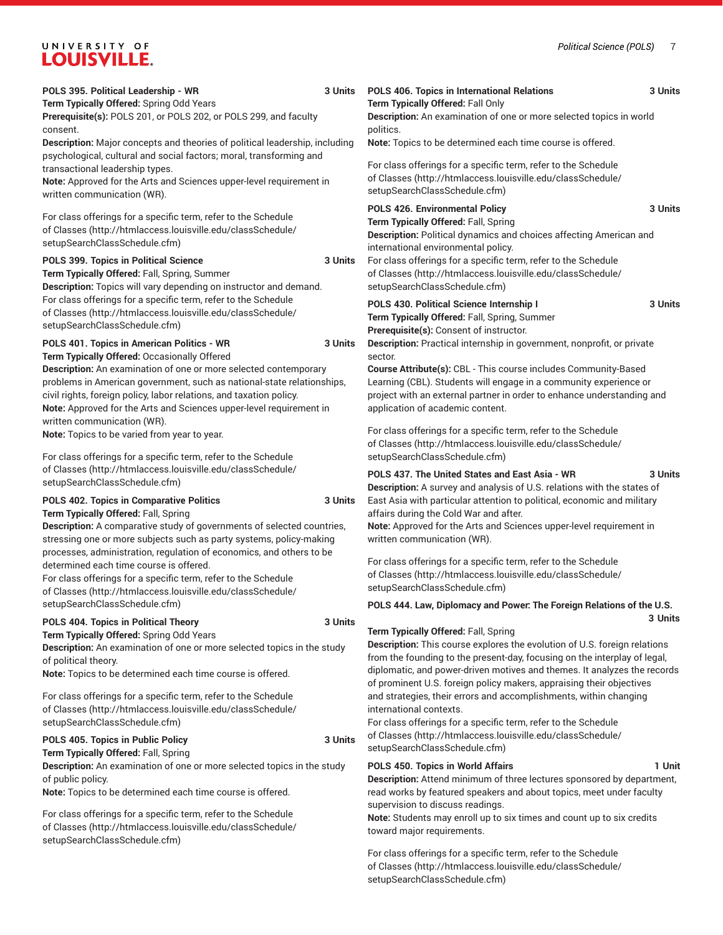|  | POLS 395. Political Leadership - WR<br>Term Typically Offered: Spring Odd Years                                                                                                                                                                                                                                                                                                                   | 3 Units | POLS 406. Topics in International Relations<br>Term Typically Offered: Fall Only                                                                                                                                                                                                                                                                   | 3 Units |
|--|---------------------------------------------------------------------------------------------------------------------------------------------------------------------------------------------------------------------------------------------------------------------------------------------------------------------------------------------------------------------------------------------------|---------|----------------------------------------------------------------------------------------------------------------------------------------------------------------------------------------------------------------------------------------------------------------------------------------------------------------------------------------------------|---------|
|  | Prerequisite(s): POLS 201, or POLS 202, or POLS 299, and faculty<br>consent.                                                                                                                                                                                                                                                                                                                      |         | Description: An examination of one or more selected topics in world<br>politics.                                                                                                                                                                                                                                                                   |         |
|  | <b>Description:</b> Major concepts and theories of political leadership, including<br>psychological, cultural and social factors; moral, transforming and                                                                                                                                                                                                                                         |         | Note: Topics to be determined each time course is offered.                                                                                                                                                                                                                                                                                         |         |
|  | transactional leadership types.<br>Note: Approved for the Arts and Sciences upper-level requirement in<br>written communication (WR).                                                                                                                                                                                                                                                             |         | For class offerings for a specific term, refer to the Schedule<br>of Classes (http://htmlaccess.louisville.edu/classSchedule/<br>setupSearchClassSchedule.cfm)                                                                                                                                                                                     |         |
|  | For class offerings for a specific term, refer to the Schedule<br>of Classes (http://htmlaccess.louisville.edu/classSchedule/<br>setupSearchClassSchedule.cfm)                                                                                                                                                                                                                                    |         | POLS 426. Environmental Policy<br>Term Typically Offered: Fall, Spring<br>Description: Political dynamics and choices affecting American and<br>international environmental policy.                                                                                                                                                                | 3 Units |
|  | POLS 399. Topics in Political Science<br>Term Typically Offered: Fall, Spring, Summer<br>Description: Topics will vary depending on instructor and demand.                                                                                                                                                                                                                                        | 3 Units | For class offerings for a specific term, refer to the Schedule<br>of Classes (http://htmlaccess.louisville.edu/classSchedule/<br>setupSearchClassSchedule.cfm)                                                                                                                                                                                     |         |
|  | For class offerings for a specific term, refer to the Schedule<br>of Classes (http://htmlaccess.louisville.edu/classSchedule/<br>setupSearchClassSchedule.cfm)                                                                                                                                                                                                                                    |         | POLS 430. Political Science Internship I<br>Term Typically Offered: Fall, Spring, Summer<br>Prerequisite(s): Consent of instructor.                                                                                                                                                                                                                | 3 Units |
|  | POLS 401. Topics in American Politics - WR<br>3 Units<br>Term Typically Offered: Occasionally Offered<br>Description: An examination of one or more selected contemporary<br>problems in American government, such as national-state relationships,<br>civil rights, foreign policy, labor relations, and taxation policy.<br>Note: Approved for the Arts and Sciences upper-level requirement in |         | Description: Practical internship in government, nonprofit, or private<br>sector.<br>Course Attribute(s): CBL - This course includes Community-Based<br>Learning (CBL). Students will engage in a community experience or<br>project with an external partner in order to enhance understanding and<br>application of academic content.            |         |
|  | written communication (WR).<br>Note: Topics to be varied from year to year.                                                                                                                                                                                                                                                                                                                       |         | For class offerings for a specific term, refer to the Schedule<br>of Classes (http://htmlaccess.louisville.edu/classSchedule/                                                                                                                                                                                                                      |         |
|  | For class offerings for a specific term, refer to the Schedule<br>of Classes (http://htmlaccess.louisville.edu/classSchedule/<br>setupSearchClassSchedule.cfm)                                                                                                                                                                                                                                    |         | setupSearchClassSchedule.cfm)<br>POLS 437. The United States and East Asia - WR<br>Description: A survey and analysis of U.S. relations with the states of                                                                                                                                                                                         | 3 Units |
|  | POLS 402. Topics in Comparative Politics<br>3 Units<br>Term Typically Offered: Fall, Spring<br>Description: A comparative study of governments of selected countries,<br>stressing one or more subjects such as party systems, policy-making                                                                                                                                                      |         | East Asia with particular attention to political, economic and military<br>affairs during the Cold War and after.<br>Note: Approved for the Arts and Sciences upper-level requirement in<br>written communication (WR).                                                                                                                            |         |
|  | processes, administration, regulation of economics, and others to be<br>determined each time course is offered.<br>For class offerings for a specific term, refer to the Schedule<br>of Classes (http://htmlaccess.louisville.edu/classSchedule/                                                                                                                                                  |         | For class offerings for a specific term, refer to the Schedule<br>of Classes (http://htmlaccess.louisville.edu/classSchedule/<br>setupSearchClassSchedule.cfm)                                                                                                                                                                                     |         |
|  | setupSearchClassSchedule.cfm)<br>POLS 404. Topics in Political Theory                                                                                                                                                                                                                                                                                                                             | 3 Units | POLS 444. Law, Diplomacy and Power: The Foreign Relations of the U.S.                                                                                                                                                                                                                                                                              | 3 Units |
|  | Term Typically Offered: Spring Odd Years<br>Description: An examination of one or more selected topics in the study<br>of political theory.<br>Note: Topics to be determined each time course is offered.                                                                                                                                                                                         |         | Term Typically Offered: Fall, Spring<br>Description: This course explores the evolution of U.S. foreign relations<br>from the founding to the present-day, focusing on the interplay of legal,<br>diplomatic, and power-driven motives and themes. It analyzes the records<br>of prominent U.S. foreign policy makers, appraising their objectives |         |
|  | For class offerings for a specific term, refer to the Schedule<br>of Classes (http://htmlaccess.louisville.edu/classSchedule/<br>setupSearchClassSchedule.cfm)                                                                                                                                                                                                                                    |         | and strategies, their errors and accomplishments, within changing<br>international contexts.<br>For class offerings for a specific term, refer to the Schedule                                                                                                                                                                                     |         |
|  | POLS 405. Topics in Public Policy<br>Term Typically Offered: Fall, Spring                                                                                                                                                                                                                                                                                                                         | 3 Units | of Classes (http://htmlaccess.louisville.edu/classSchedule/<br>setupSearchClassSchedule.cfm)                                                                                                                                                                                                                                                       |         |
|  | Description: An examination of one or more selected topics in the study<br>of public policy.<br>Note: Topics to be determined each time course is offered.                                                                                                                                                                                                                                        |         | POLS 450. Topics in World Affairs<br>Description: Attend minimum of three lectures sponsored by department,<br>read works by featured speakers and about topics, meet under faculty                                                                                                                                                                | 1 Unit  |
|  | For class offerings for a specific term, refer to the Schedule<br>of Classes (http://htmlaccess.louisville.edu/classSchedule/<br>setupSearchClassSchedule.cfm)                                                                                                                                                                                                                                    |         | supervision to discuss readings.<br>Note: Students may enroll up to six times and count up to six credits<br>toward major requirements.                                                                                                                                                                                                            |         |
|  |                                                                                                                                                                                                                                                                                                                                                                                                   |         |                                                                                                                                                                                                                                                                                                                                                    |         |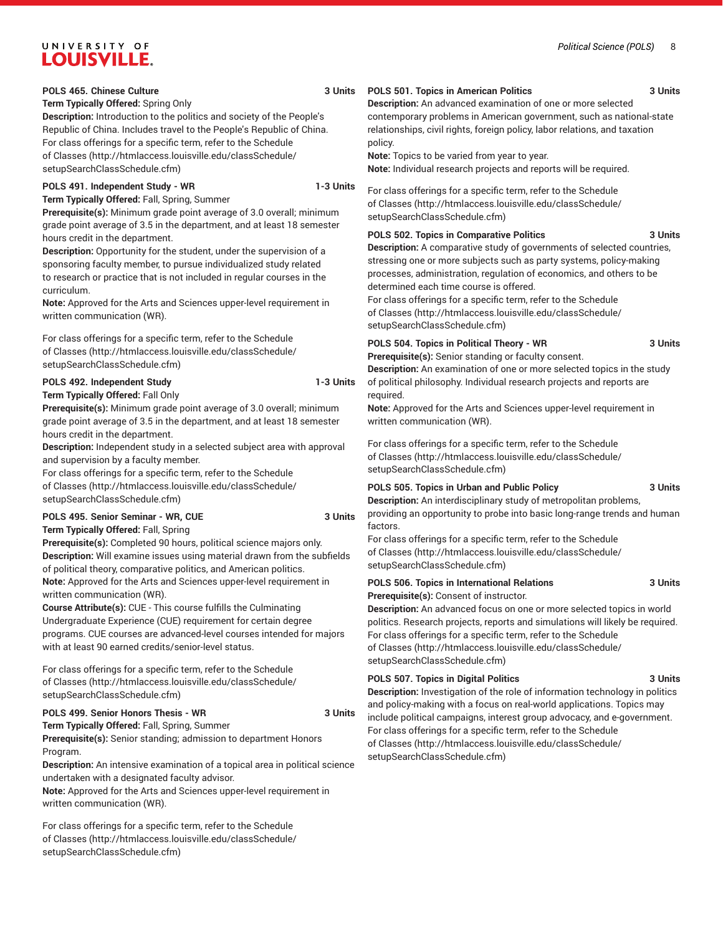#### POLS 465. Chinese Culture **3 Units**

**Term Typically Offered:** Spring Only

**Description:** Introduction to the politics and society of the People's Republic of China. Includes travel to the People's Republic of China. For class offerings for a specific term, refer to the [Schedule](http://htmlaccess.louisville.edu/classSchedule/setupSearchClassSchedule.cfm) [of Classes \(http://htmlaccess.louisville.edu/classSchedule/](http://htmlaccess.louisville.edu/classSchedule/setupSearchClassSchedule.cfm) [setupSearchClassSchedule.cfm\)](http://htmlaccess.louisville.edu/classSchedule/setupSearchClassSchedule.cfm)

#### **POLS 491. Independent Study - WR 1-3 Units**

**Term Typically Offered:** Fall, Spring, Summer

**Prerequisite(s):** Minimum grade point average of 3.0 overall; minimum grade point average of 3.5 in the department, and at least 18 semester hours credit in the department.

**Description:** Opportunity for the student, under the supervision of a sponsoring faculty member, to pursue individualized study related to research or practice that is not included in regular courses in the curriculum.

**Note:** Approved for the Arts and Sciences upper-level requirement in written communication (WR).

For class offerings for a specific term, refer to the [Schedule](http://htmlaccess.louisville.edu/classSchedule/setupSearchClassSchedule.cfm) [of Classes \(http://htmlaccess.louisville.edu/classSchedule/](http://htmlaccess.louisville.edu/classSchedule/setupSearchClassSchedule.cfm) [setupSearchClassSchedule.cfm\)](http://htmlaccess.louisville.edu/classSchedule/setupSearchClassSchedule.cfm)

#### **POLS 492. Independent Study 1-3 Units**

**Term Typically Offered:** Fall Only

**Prerequisite(s):** Minimum grade point average of 3.0 overall; minimum grade point average of 3.5 in the department, and at least 18 semester hours credit in the department.

**Description:** Independent study in a selected subject area with approval and supervision by a faculty member.

For class offerings for a specific term, refer to the [Schedule](http://htmlaccess.louisville.edu/classSchedule/setupSearchClassSchedule.cfm) [of Classes \(http://htmlaccess.louisville.edu/classSchedule/](http://htmlaccess.louisville.edu/classSchedule/setupSearchClassSchedule.cfm) [setupSearchClassSchedule.cfm\)](http://htmlaccess.louisville.edu/classSchedule/setupSearchClassSchedule.cfm)

#### **POLS 495. Senior Seminar - WR, CUE 3 Units Term Typically Offered:** Fall, Spring

**Prerequisite(s):** Completed 90 hours, political science majors only. **Description:** Will examine issues using material drawn from the subfields of political theory, comparative politics, and American politics. **Note:** Approved for the Arts and Sciences upper-level requirement in written communication (WR).

**Course Attribute(s):** CUE - This course fulfills the Culminating Undergraduate Experience (CUE) requirement for certain degree programs. CUE courses are advanced-level courses intended for majors with at least 90 earned credits/senior-level status.

For class offerings for a specific term, refer to the [Schedule](http://htmlaccess.louisville.edu/classSchedule/setupSearchClassSchedule.cfm) [of Classes \(http://htmlaccess.louisville.edu/classSchedule/](http://htmlaccess.louisville.edu/classSchedule/setupSearchClassSchedule.cfm) [setupSearchClassSchedule.cfm\)](http://htmlaccess.louisville.edu/classSchedule/setupSearchClassSchedule.cfm)

#### POLS 499. Senior Honors Thesis - WR 3 Units

**Term Typically Offered:** Fall, Spring, Summer **Prerequisite(s):** Senior standing; admission to department Honors Program.

**Description:** An intensive examination of a topical area in political science undertaken with a designated faculty advisor.

**Note:** Approved for the Arts and Sciences upper-level requirement in written communication (WR).

For class offerings for a specific term, refer to the [Schedule](http://htmlaccess.louisville.edu/classSchedule/setupSearchClassSchedule.cfm) [of Classes \(http://htmlaccess.louisville.edu/classSchedule/](http://htmlaccess.louisville.edu/classSchedule/setupSearchClassSchedule.cfm) [setupSearchClassSchedule.cfm\)](http://htmlaccess.louisville.edu/classSchedule/setupSearchClassSchedule.cfm)

#### **POLS 501. Topics in American Politics 3 Units**

**Description:** An advanced examination of one or more selected contemporary problems in American government, such as national-state relationships, civil rights, foreign policy, labor relations, and taxation policy.

**Note:** Topics to be varied from year to year.

**Note:** Individual research projects and reports will be required.

For class offerings for a specific term, refer to the [Schedule](http://htmlaccess.louisville.edu/classSchedule/setupSearchClassSchedule.cfm) [of Classes](http://htmlaccess.louisville.edu/classSchedule/setupSearchClassSchedule.cfm) ([http://htmlaccess.louisville.edu/classSchedule/](http://htmlaccess.louisville.edu/classSchedule/setupSearchClassSchedule.cfm) [setupSearchClassSchedule.cfm\)](http://htmlaccess.louisville.edu/classSchedule/setupSearchClassSchedule.cfm)

#### **POLS 502. Topics in Comparative Politics 3 Units**

**Description:** A comparative study of governments of selected countries, stressing one or more subjects such as party systems, policy-making processes, administration, regulation of economics, and others to be determined each time course is offered.

For class offerings for a specific term, refer to the [Schedule](http://htmlaccess.louisville.edu/classSchedule/setupSearchClassSchedule.cfm) [of Classes](http://htmlaccess.louisville.edu/classSchedule/setupSearchClassSchedule.cfm) ([http://htmlaccess.louisville.edu/classSchedule/](http://htmlaccess.louisville.edu/classSchedule/setupSearchClassSchedule.cfm) [setupSearchClassSchedule.cfm\)](http://htmlaccess.louisville.edu/classSchedule/setupSearchClassSchedule.cfm)

#### **POLS 504. Topics in Political Theory - WR 3 Units**

**Prerequisite(s):** Senior standing or faculty consent.

**Description:** An examination of one or more selected topics in the study of political philosophy. Individual research projects and reports are required.

**Note:** Approved for the Arts and Sciences upper-level requirement in written communication (WR).

For class offerings for a specific term, refer to the [Schedule](http://htmlaccess.louisville.edu/classSchedule/setupSearchClassSchedule.cfm) [of Classes](http://htmlaccess.louisville.edu/classSchedule/setupSearchClassSchedule.cfm) ([http://htmlaccess.louisville.edu/classSchedule/](http://htmlaccess.louisville.edu/classSchedule/setupSearchClassSchedule.cfm) [setupSearchClassSchedule.cfm\)](http://htmlaccess.louisville.edu/classSchedule/setupSearchClassSchedule.cfm)

#### **POLS 505. Topics in Urban and Public Policy 3 Units**

**Description:** An interdisciplinary study of metropolitan problems, providing an opportunity to probe into basic long-range trends and human factors.

For class offerings for a specific term, refer to the [Schedule](http://htmlaccess.louisville.edu/classSchedule/setupSearchClassSchedule.cfm) [of Classes](http://htmlaccess.louisville.edu/classSchedule/setupSearchClassSchedule.cfm) ([http://htmlaccess.louisville.edu/classSchedule/](http://htmlaccess.louisville.edu/classSchedule/setupSearchClassSchedule.cfm) [setupSearchClassSchedule.cfm\)](http://htmlaccess.louisville.edu/classSchedule/setupSearchClassSchedule.cfm)

#### **POLS 506. Topics in International Relations 3 Units Prerequisite(s):** Consent of instructor.

**Description:** An advanced focus on one or more selected topics in world politics. Research projects, reports and simulations will likely be required. For class offerings for a specific term, refer to the [Schedule](http://htmlaccess.louisville.edu/classSchedule/setupSearchClassSchedule.cfm) [of Classes](http://htmlaccess.louisville.edu/classSchedule/setupSearchClassSchedule.cfm) ([http://htmlaccess.louisville.edu/classSchedule/](http://htmlaccess.louisville.edu/classSchedule/setupSearchClassSchedule.cfm) [setupSearchClassSchedule.cfm\)](http://htmlaccess.louisville.edu/classSchedule/setupSearchClassSchedule.cfm)

#### **POLS 507. Topics in Digital Politics 3 Units**

**Description:** Investigation of the role of information technology in politics and policy-making with a focus on real-world applications. Topics may include political campaigns, interest group advocacy, and e-government. For class offerings for a specific term, refer to the [Schedule](http://htmlaccess.louisville.edu/classSchedule/setupSearchClassSchedule.cfm) [of Classes](http://htmlaccess.louisville.edu/classSchedule/setupSearchClassSchedule.cfm) ([http://htmlaccess.louisville.edu/classSchedule/](http://htmlaccess.louisville.edu/classSchedule/setupSearchClassSchedule.cfm) [setupSearchClassSchedule.cfm\)](http://htmlaccess.louisville.edu/classSchedule/setupSearchClassSchedule.cfm)